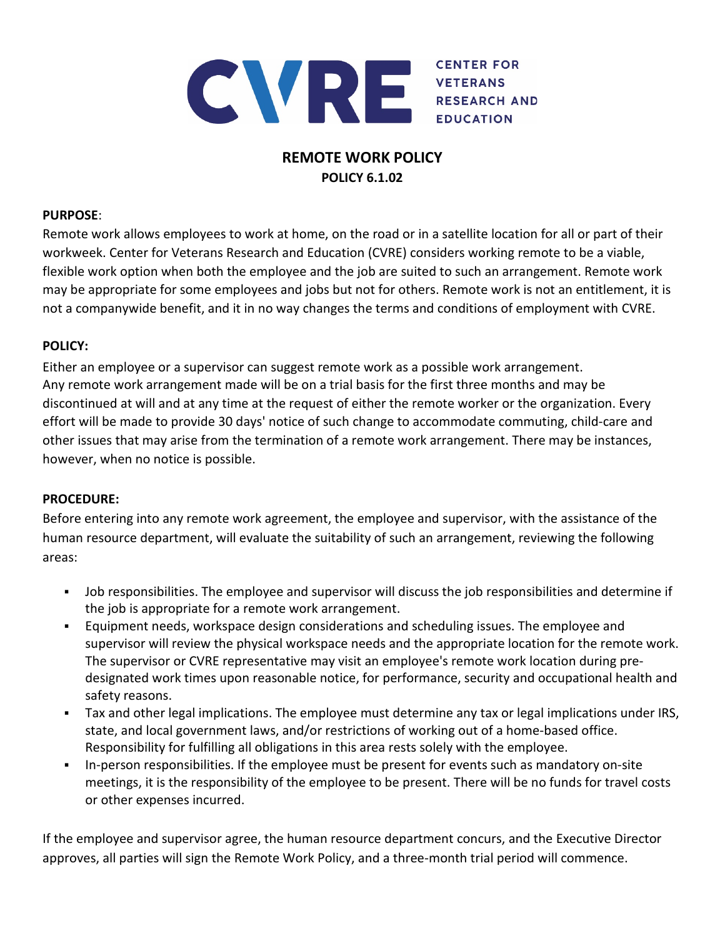

# **REMOTE WORK POLICY POLICY 6.1.02**

### **PURPOSE**:

Remote work allows employees to work at home, on the road or in a satellite location for all or part of their workweek. Center for Veterans Research and Education (CVRE) considers working remote to be a viable, flexible work option when both the employee and the job are suited to such an arrangement. Remote work may be appropriate for some employees and jobs but not for others. Remote work is not an entitlement, it is not a companywide benefit, and it in no way changes the terms and conditions of employment with CVRE.

# **POLICY:**

Either an employee or a supervisor can suggest remote work as a possible work arrangement. Any remote work arrangement made will be on a trial basis for the first three months and may be discontinued at will and at any time at the request of either the remote worker or the organization. Every effort will be made to provide 30 days' notice of such change to accommodate commuting, child-care and other issues that may arise from the termination of a remote work arrangement. There may be instances, however, when no notice is possible.

#### **PROCEDURE:**

Before entering into any remote work agreement, the employee and supervisor, with the assistance of the human resource department, will evaluate the suitability of such an arrangement, reviewing the following areas:

- Job responsibilities. The employee and supervisor will discuss the job responsibilities and determine if the job is appropriate for a remote work arrangement.
- Equipment needs, workspace design considerations and scheduling issues. The employee and supervisor will review the physical workspace needs and the appropriate location for the remote work. The supervisor or CVRE representative may visit an employee's remote work location during predesignated work times upon reasonable notice, for performance, security and occupational health and safety reasons.
- Tax and other legal implications. The employee must determine any tax or legal implications under IRS, state, and local government laws, and/or restrictions of working out of a home-based office. Responsibility for fulfilling all obligations in this area rests solely with the employee.
- In-person responsibilities. If the employee must be present for events such as mandatory on-site meetings, it is the responsibility of the employee to be present. There will be no funds for travel costs or other expenses incurred.

If the employee and supervisor agree, the human resource department concurs, and the Executive Director approves, all parties will sign the Remote Work Policy, and a three-month trial period will commence.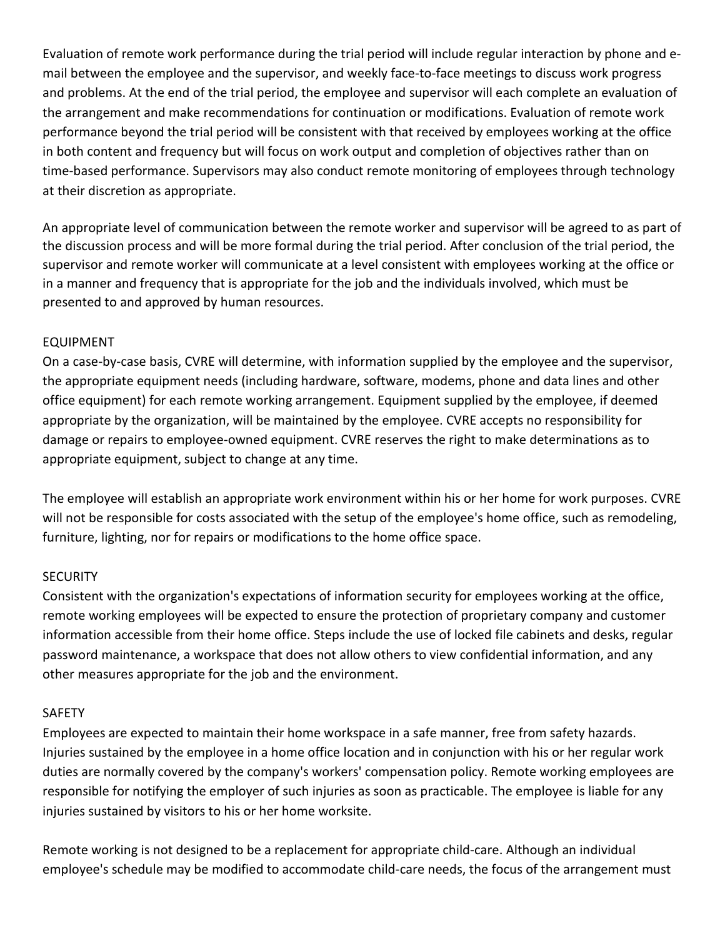Evaluation of remote work performance during the trial period will include regular interaction by phone and email between the employee and the supervisor, and weekly face-to-face meetings to discuss work progress and problems. At the end of the trial period, the employee and supervisor will each complete an evaluation of the arrangement and make recommendations for continuation or modifications. Evaluation of remote work performance beyond the trial period will be consistent with that received by employees working at the office in both content and frequency but will focus on work output and completion of objectives rather than on time-based performance. Supervisors may also conduct remote monitoring of employees through technology at their discretion as appropriate.

An appropriate level of communication between the remote worker and supervisor will be agreed to as part of the discussion process and will be more formal during the trial period. After conclusion of the trial period, the supervisor and remote worker will communicate at a level consistent with employees working at the office or in a manner and frequency that is appropriate for the job and the individuals involved, which must be presented to and approved by human resources.

## EQUIPMENT

On a case-by-case basis, CVRE will determine, with information supplied by the employee and the supervisor, the appropriate equipment needs (including hardware, software, modems, phone and data lines and other office equipment) for each remote working arrangement. Equipment supplied by the employee, if deemed appropriate by the organization, will be maintained by the employee. CVRE accepts no responsibility for damage or repairs to employee-owned equipment. CVRE reserves the right to make determinations as to appropriate equipment, subject to change at any time.

The employee will establish an appropriate work environment within his or her home for work purposes. CVRE will not be responsible for costs associated with the setup of the employee's home office, such as remodeling, furniture, lighting, nor for repairs or modifications to the home office space.

#### **SECURITY**

Consistent with the organization's expectations of information security for employees working at the office, remote working employees will be expected to ensure the protection of proprietary company and customer information accessible from their home office. Steps include the use of locked file cabinets and desks, regular password maintenance, a workspace that does not allow others to view confidential information, and any other measures appropriate for the job and the environment.

#### SAFETY

Employees are expected to maintain their home workspace in a safe manner, free from safety hazards. Injuries sustained by the employee in a home office location and in conjunction with his or her regular work duties are normally covered by the company's workers' compensation policy. Remote working employees are responsible for notifying the employer of such injuries as soon as practicable. The employee is liable for any injuries sustained by visitors to his or her home worksite.

Remote working is not designed to be a replacement for appropriate child-care. Although an individual employee's schedule may be modified to accommodate child-care needs, the focus of the arrangement must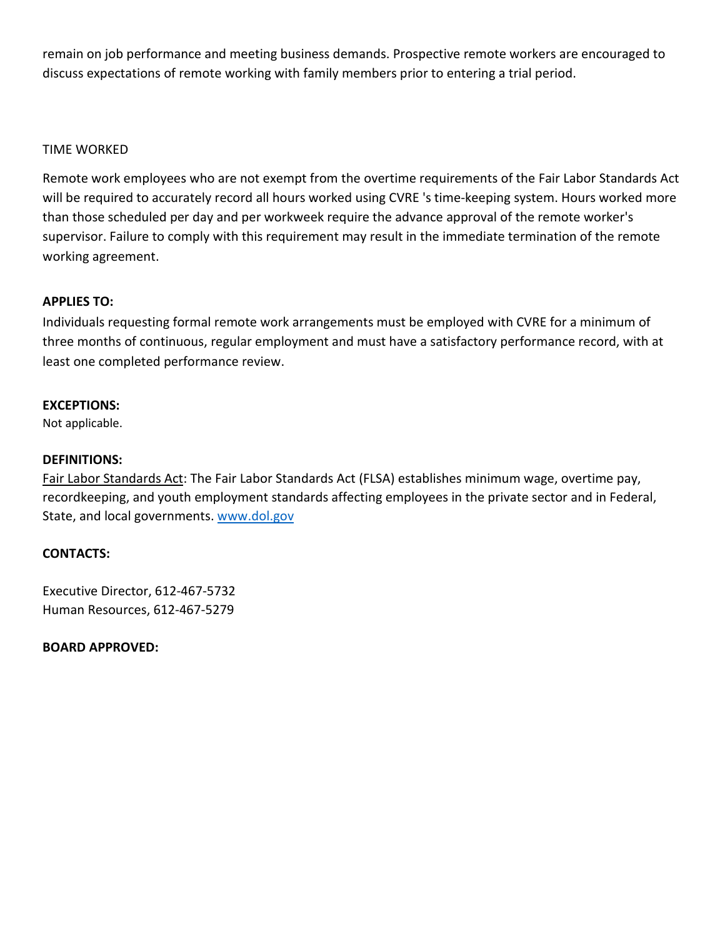remain on job performance and meeting business demands. Prospective remote workers are encouraged to discuss expectations of remote working with family members prior to entering a trial period.

#### TIME WORKED

Remote work employees who are not exempt from the overtime requirements of the Fair Labor Standards Act will be required to accurately record all hours worked using CVRE 's time-keeping system. Hours worked more than those scheduled per day and per workweek require the advance approval of the remote worker's supervisor. Failure to comply with this requirement may result in the immediate termination of the remote working agreement.

#### **APPLIES TO:**

Individuals requesting formal remote work arrangements must be employed with CVRE for a minimum of three months of continuous, regular employment and must have a satisfactory performance record, with at least one completed performance review.

#### **EXCEPTIONS:**

Not applicable.

#### **DEFINITIONS:**

Fair Labor Standards Act: The Fair Labor Standards Act (FLSA) establishes minimum wage, overtime pay, recordkeeping, and youth employment standards affecting employees in the private sector and in Federal, State, and local governments. [www.dol.gov](http://www.dol.gov/)

#### **CONTACTS:**

Executive Director, 612-467-5732 Human Resources, 612-467-5279

**BOARD APPROVED:**